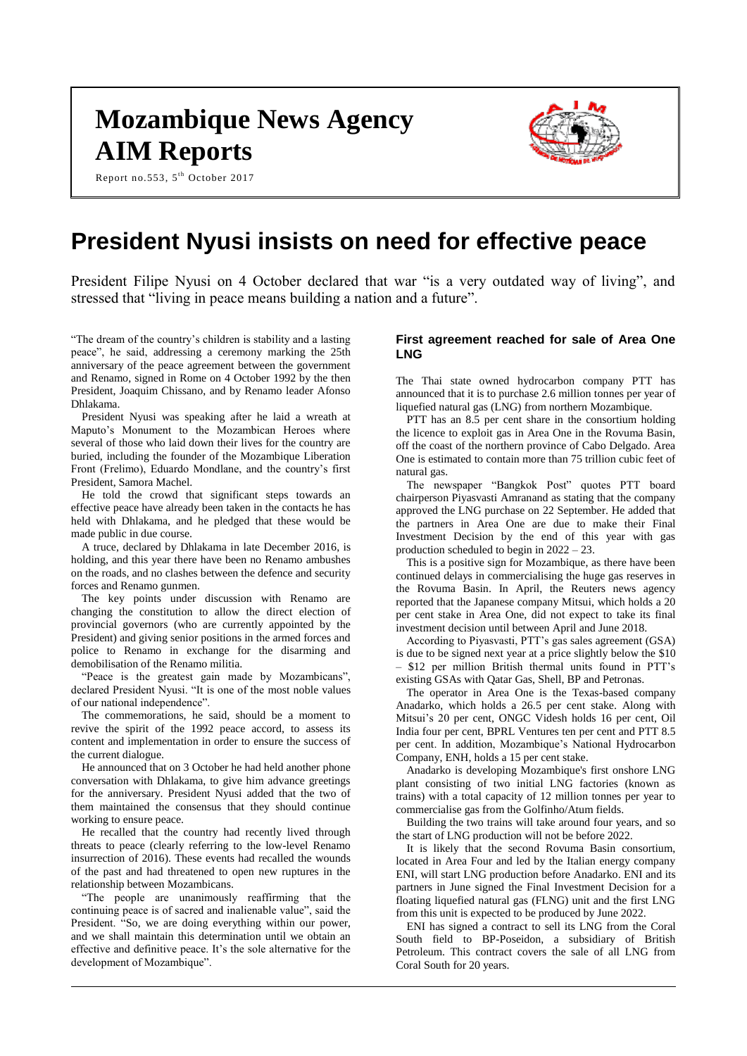# **Mozambique News Agency AIM Reports**



Report no.553, 5<sup>th</sup> October 2017

# **President Nyusi insists on need for effective peace**

President Filipe Nyusi on 4 October declared that war "is a very outdated way of living", and stressed that "living in peace means building a nation and a future".

"The dream of the country's children is stability and a lasting peace", he said, addressing a ceremony marking the 25th anniversary of the peace agreement between the government and Renamo, signed in Rome on 4 October 1992 by the then President, Joaquim Chissano, and by Renamo leader Afonso Dhlakama.

President Nyusi was speaking after he laid a wreath at Maputo's Monument to the Mozambican Heroes where several of those who laid down their lives for the country are buried, including the founder of the Mozambique Liberation Front (Frelimo), Eduardo Mondlane, and the country's first President, Samora Machel.

He told the crowd that significant steps towards an effective peace have already been taken in the contacts he has held with Dhlakama, and he pledged that these would be made public in due course.

A truce, declared by Dhlakama in late December 2016, is holding, and this year there have been no Renamo ambushes on the roads, and no clashes between the defence and security forces and Renamo gunmen.

The key points under discussion with Renamo are changing the constitution to allow the direct election of provincial governors (who are currently appointed by the President) and giving senior positions in the armed forces and police to Renamo in exchange for the disarming and demobilisation of the Renamo militia.

"Peace is the greatest gain made by Mozambicans", declared President Nyusi. "It is one of the most noble values of our national independence".

The commemorations, he said, should be a moment to revive the spirit of the 1992 peace accord, to assess its content and implementation in order to ensure the success of the current dialogue.

He announced that on 3 October he had held another phone conversation with Dhlakama, to give him advance greetings for the anniversary. President Nyusi added that the two of them maintained the consensus that they should continue working to ensure peace.

He recalled that the country had recently lived through threats to peace (clearly referring to the low-level Renamo insurrection of 2016). These events had recalled the wounds of the past and had threatened to open new ruptures in the relationship between Mozambicans.

"The people are unanimously reaffirming that the continuing peace is of sacred and inalienable value", said the President. "So, we are doing everything within our power, and we shall maintain this determination until we obtain an effective and definitive peace. It's the sole alternative for the development of Mozambique".

# **First agreement reached for sale of Area One LNG**

The Thai state owned hydrocarbon company PTT has announced that it is to purchase 2.6 million tonnes per year of liquefied natural gas (LNG) from northern Mozambique.

PTT has an 8.5 per cent share in the consortium holding the licence to exploit gas in Area One in the Rovuma Basin, off the coast of the northern province of Cabo Delgado. Area One is estimated to contain more than 75 trillion cubic feet of natural gas.

The newspaper "Bangkok Post" quotes PTT board chairperson Piyasvasti Amranand as stating that the company approved the LNG purchase on 22 September. He added that the partners in Area One are due to make their Final Investment Decision by the end of this year with gas production scheduled to begin in 2022 – 23.

This is a positive sign for Mozambique, as there have been continued delays in commercialising the huge gas reserves in the Rovuma Basin. In April, the Reuters news agency reported that the Japanese company Mitsui, which holds a 20 per cent stake in Area One, did not expect to take its final investment decision until between April and June 2018.

According to Piyasvasti, PTT's gas sales agreement (GSA) is due to be signed next year at a price slightly below the \$10 – \$12 per million British thermal units found in PTT's existing GSAs with Qatar Gas, Shell, BP and Petronas.

The operator in Area One is the Texas-based company Anadarko, which holds a 26.5 per cent stake. Along with Mitsui's 20 per cent, ONGC Videsh holds 16 per cent, Oil India four per cent, BPRL Ventures ten per cent and PTT 8.5 per cent. In addition, Mozambique's National Hydrocarbon Company, ENH, holds a 15 per cent stake.

Anadarko is developing Mozambique's first onshore LNG plant consisting of two initial LNG factories (known as trains) with a total capacity of 12 million tonnes per year to commercialise gas from the Golfinho/Atum fields.

Building the two trains will take around four years, and so the start of LNG production will not be before 2022.

It is likely that the second Rovuma Basin consortium, located in Area Four and led by the Italian energy company ENI, will start LNG production before Anadarko. ENI and its partners in June signed the Final Investment Decision for a floating liquefied natural gas (FLNG) unit and the first LNG from this unit is expected to be produced by June 2022.

ENI has signed a contract to sell its LNG from the Coral South field to BP-Poseidon, a subsidiary of British Petroleum. This contract covers the sale of all LNG from Coral South for 20 years.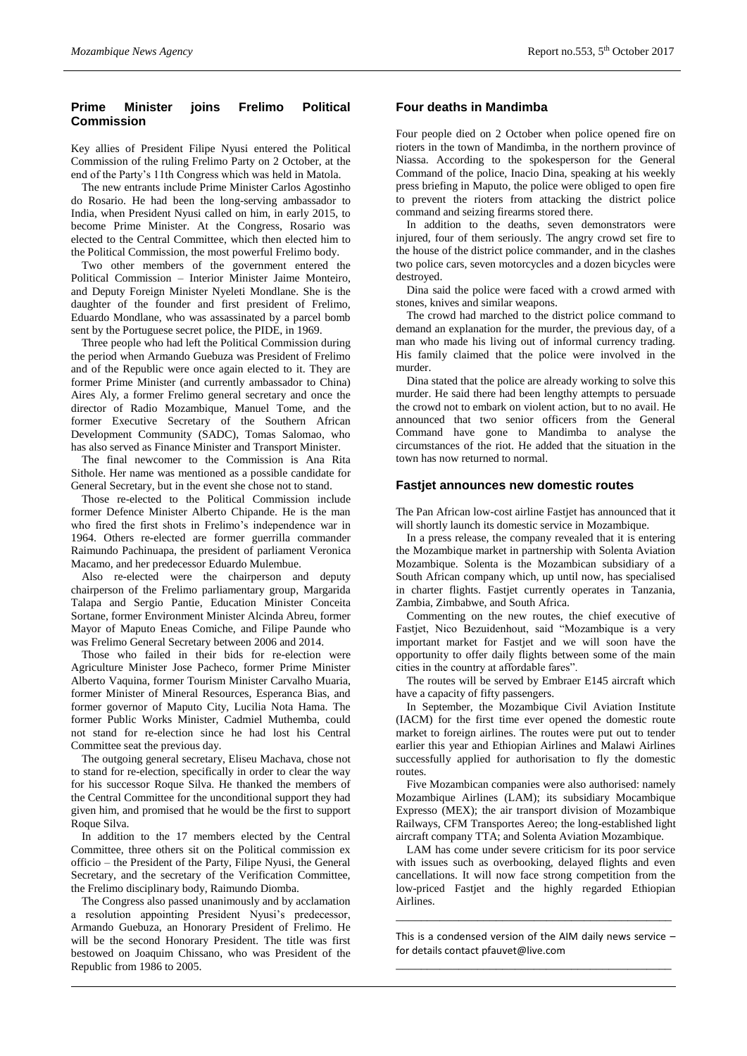# **Prime Minister joins Frelimo Political Commission**

Key allies of President Filipe Nyusi entered the Political Commission of the ruling Frelimo Party on 2 October, at the end of the Party's 11th Congress which was held in Matola.

The new entrants include Prime Minister Carlos Agostinho do Rosario. He had been the long-serving ambassador to India, when President Nyusi called on him, in early 2015, to become Prime Minister. At the Congress, Rosario was elected to the Central Committee, which then elected him to the Political Commission, the most powerful Frelimo body.

Two other members of the government entered the Political Commission – Interior Minister Jaime Monteiro, and Deputy Foreign Minister Nyeleti Mondlane. She is the daughter of the founder and first president of Frelimo, Eduardo Mondlane, who was assassinated by a parcel bomb sent by the Portuguese secret police, the PIDE, in 1969.

Three people who had left the Political Commission during the period when Armando Guebuza was President of Frelimo and of the Republic were once again elected to it. They are former Prime Minister (and currently ambassador to China) Aires Aly, a former Frelimo general secretary and once the director of Radio Mozambique, Manuel Tome, and the former Executive Secretary of the Southern African Development Community (SADC), Tomas Salomao, who has also served as Finance Minister and Transport Minister.

The final newcomer to the Commission is Ana Rita Sithole. Her name was mentioned as a possible candidate for General Secretary, but in the event she chose not to stand.

Those re-elected to the Political Commission include former Defence Minister Alberto Chipande. He is the man who fired the first shots in Frelimo's independence war in 1964. Others re-elected are former guerrilla commander Raimundo Pachinuapa, the president of parliament Veronica Macamo, and her predecessor Eduardo Mulembue.

Also re-elected were the chairperson and deputy chairperson of the Frelimo parliamentary group, Margarida Talapa and Sergio Pantie, Education Minister Conceita Sortane, former Environment Minister Alcinda Abreu, former Mayor of Maputo Eneas Comiche, and Filipe Paunde who was Frelimo General Secretary between 2006 and 2014.

Those who failed in their bids for re-election were Agriculture Minister Jose Pacheco, former Prime Minister Alberto Vaquina, former Tourism Minister Carvalho Muaria, former Minister of Mineral Resources, Esperanca Bias, and former governor of Maputo City, Lucilia Nota Hama. The former Public Works Minister, Cadmiel Muthemba, could not stand for re-election since he had lost his Central Committee seat the previous day.

The outgoing general secretary, Eliseu Machava, chose not to stand for re-election, specifically in order to clear the way for his successor Roque Silva. He thanked the members of the Central Committee for the unconditional support they had given him, and promised that he would be the first to support Roque Silva.

In addition to the 17 members elected by the Central Committee, three others sit on the Political commission ex officio – the President of the Party, Filipe Nyusi, the General Secretary, and the secretary of the Verification Committee, the Frelimo disciplinary body, Raimundo Diomba.

The Congress also passed unanimously and by acclamation a resolution appointing President Nyusi's predecessor, Armando Guebuza, an Honorary President of Frelimo. He will be the second Honorary President. The title was first bestowed on Joaquim Chissano, who was President of the Republic from 1986 to 2005.

# **Four deaths in Mandimba**

Four people died on 2 October when police opened fire on rioters in the town of Mandimba, in the northern province of Niassa. According to the spokesperson for the General Command of the police, Inacio Dina, speaking at his weekly press briefing in Maputo, the police were obliged to open fire to prevent the rioters from attacking the district police command and seizing firearms stored there.

In addition to the deaths, seven demonstrators were injured, four of them seriously. The angry crowd set fire to the house of the district police commander, and in the clashes two police cars, seven motorcycles and a dozen bicycles were destroyed.

Dina said the police were faced with a crowd armed with stones, knives and similar weapons.

The crowd had marched to the district police command to demand an explanation for the murder, the previous day, of a man who made his living out of informal currency trading. His family claimed that the police were involved in the murder.

Dina stated that the police are already working to solve this murder. He said there had been lengthy attempts to persuade the crowd not to embark on violent action, but to no avail. He announced that two senior officers from the General Command have gone to Mandimba to analyse the circumstances of the riot. He added that the situation in the town has now returned to normal.

## **Fastjet announces new domestic routes**

The Pan African low-cost airline Fastjet has announced that it will shortly launch its domestic service in Mozambique.

In a press release, the company revealed that it is entering the Mozambique market in partnership with Solenta Aviation Mozambique. Solenta is the Mozambican subsidiary of a South African company which, up until now, has specialised in charter flights. Fastjet currently operates in Tanzania, Zambia, Zimbabwe, and South Africa.

Commenting on the new routes, the chief executive of Fastjet, Nico Bezuidenhout, said "Mozambique is a very important market for Fastjet and we will soon have the opportunity to offer daily flights between some of the main cities in the country at affordable fares".

The routes will be served by Embraer E145 aircraft which have a capacity of fifty passengers.

In September, the Mozambique Civil Aviation Institute (IACM) for the first time ever opened the domestic route market to foreign airlines. The routes were put out to tender earlier this year and Ethiopian Airlines and Malawi Airlines successfully applied for authorisation to fly the domestic routes.

Five Mozambican companies were also authorised: namely Mozambique Airlines (LAM); its subsidiary Mocambique Expresso (MEX); the air transport division of Mozambique Railways, CFM Transportes Aereo; the long-established light aircraft company TTA; and Solenta Aviation Mozambique.

LAM has come under severe criticism for its poor service with issues such as overbooking, delayed flights and even cancellations. It will now face strong competition from the low-priced Fastjet and the highly regarded Ethiopian Airlines.

This is a condensed version of the AIM daily news service – for details contact [pfauvet@live.com](mailto:pfauvet@live.com) \_\_\_\_\_\_\_\_\_\_\_\_\_\_\_\_\_\_\_\_\_\_\_\_\_\_\_\_\_\_\_\_\_\_\_\_\_\_\_\_\_\_\_\_

\_\_\_\_\_\_\_\_\_\_\_\_\_\_\_\_\_\_\_\_\_\_\_\_\_\_\_\_\_\_\_\_\_\_\_\_\_\_\_\_\_\_\_\_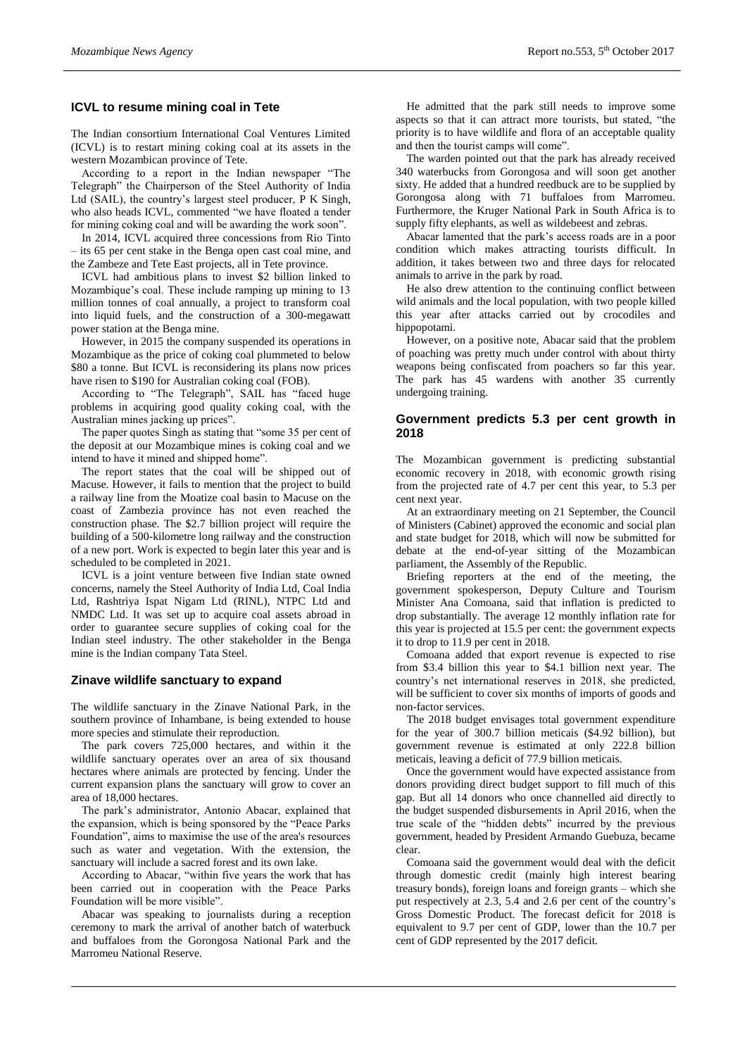## **ICVL to resume mining coal in Tete**

The Indian consortium International Coal Ventures Limited (ICVL) is to restart mining coking coal at its assets in the western Mozambican province of Tete.

According to a report in the Indian newspaper "The Telegraph" the Chairperson of the Steel Authority of India Ltd (SAIL), the country's largest steel producer, P K Singh, who also heads ICVL, commented "we have floated a tender for mining coking coal and will be awarding the work soon".

In 2014, ICVL acquired three concessions from Rio Tinto – its 65 per cent stake in the Benga open cast coal mine, and the Zambeze and Tete East projects, all in Tete province.

ICVL had ambitious plans to invest \$2 billion linked to Mozambique's coal. These include ramping up mining to 13 million tonnes of coal annually, a project to transform coal into liquid fuels, and the construction of a 300-megawatt power station at the Benga mine.

However, in 2015 the company suspended its operations in Mozambique as the price of coking coal plummeted to below \$80 a tonne. But ICVL is reconsidering its plans now prices have risen to \$190 for Australian coking coal (FOB).

According to "The Telegraph", SAIL has "faced huge problems in acquiring good quality coking coal, with the Australian mines jacking up prices".

The paper quotes Singh as stating that "some 35 per cent of the deposit at our Mozambique mines is coking coal and we intend to have it mined and shipped home".

The report states that the coal will be shipped out of Macuse. However, it fails to mention that the project to build a railway line from the Moatize coal basin to Macuse on the coast of Zambezia province has not even reached the construction phase. The \$2.7 billion project will require the building of a 500-kilometre long railway and the construction of a new port. Work is expected to begin later this year and is scheduled to be completed in 2021.

ICVL is a joint venture between five Indian state owned concerns, namely the Steel Authority of India Ltd, Coal India Ltd, Rashtriya Ispat Nigam Ltd (RINL), NTPC Ltd and NMDC Ltd. It was set up to acquire coal assets abroad in order to guarantee secure supplies of coking coal for the Indian steel industry. The other stakeholder in the Benga mine is the Indian company Tata Steel.

# **Zinave wildlife sanctuary to expand**

The wildlife sanctuary in the Zinave National Park, in the southern province of Inhambane, is being extended to house more species and stimulate their reproduction.

The park covers 725,000 hectares, and within it the wildlife sanctuary operates over an area of six thousand hectares where animals are protected by fencing. Under the current expansion plans the sanctuary will grow to cover an area of 18,000 hectares.

The park's administrator, Antonio Abacar, explained that the expansion, which is being sponsored by the "Peace Parks Foundation", aims to maximise the use of the area's resources such as water and vegetation. With the extension, the sanctuary will include a sacred forest and its own lake.

According to Abacar, "within five years the work that has been carried out in cooperation with the Peace Parks Foundation will be more visible".

Abacar was speaking to journalists during a reception ceremony to mark the arrival of another batch of waterbuck and buffaloes from the Gorongosa National Park and the Marromeu National Reserve.

He admitted that the park still needs to improve some aspects so that it can attract more tourists, but stated, "the priority is to have wildlife and flora of an acceptable quality and then the tourist camps will come".

The warden pointed out that the park has already received 340 waterbucks from Gorongosa and will soon get another sixty. He added that a hundred reedbuck are to be supplied by Gorongosa along with 71 buffaloes from Marromeu. Furthermore, the Kruger National Park in South Africa is to supply fifty elephants, as well as wildebeest and zebras.

Abacar lamented that the park's access roads are in a poor condition which makes attracting tourists difficult. In addition, it takes between two and three days for relocated animals to arrive in the park by road.

He also drew attention to the continuing conflict between wild animals and the local population, with two people killed this year after attacks carried out by crocodiles and hippopotami.

However, on a positive note, Abacar said that the problem of poaching was pretty much under control with about thirty weapons being confiscated from poachers so far this year. The park has 45 wardens with another 35 currently undergoing training.

# **Government predicts 5.3 per cent growth in 2018**

The Mozambican government is predicting substantial economic recovery in 2018, with economic growth rising from the projected rate of 4.7 per cent this year, to 5.3 per cent next year.

At an extraordinary meeting on 21 September, the Council of Ministers (Cabinet) approved the economic and social plan and state budget for 2018, which will now be submitted for debate at the end-of-year sitting of the Mozambican parliament, the Assembly of the Republic.

Briefing reporters at the end of the meeting, the government spokesperson, Deputy Culture and Tourism Minister Ana Comoana, said that inflation is predicted to drop substantially. The average 12 monthly inflation rate for this year is projected at 15.5 per cent: the government expects it to drop to 11.9 per cent in 2018.

Comoana added that export revenue is expected to rise from \$3.4 billion this year to \$4.1 billion next year. The country's net international reserves in 2018, she predicted, will be sufficient to cover six months of imports of goods and non-factor services.

The 2018 budget envisages total government expenditure for the year of 300.7 billion meticais (\$4.92 billion), but government revenue is estimated at only 222.8 billion meticais, leaving a deficit of 77.9 billion meticais.

Once the government would have expected assistance from donors providing direct budget support to fill much of this gap. But all 14 donors who once channelled aid directly to the budget suspended disbursements in April 2016, when the true scale of the "hidden debts" incurred by the previous government, headed by President Armando Guebuza, became clear.

Comoana said the government would deal with the deficit through domestic credit (mainly high interest bearing treasury bonds), foreign loans and foreign grants – which she put respectively at 2.3, 5.4 and 2.6 per cent of the country's Gross Domestic Product. The forecast deficit for 2018 is equivalent to 9.7 per cent of GDP, lower than the 10.7 per cent of GDP represented by the 2017 deficit.